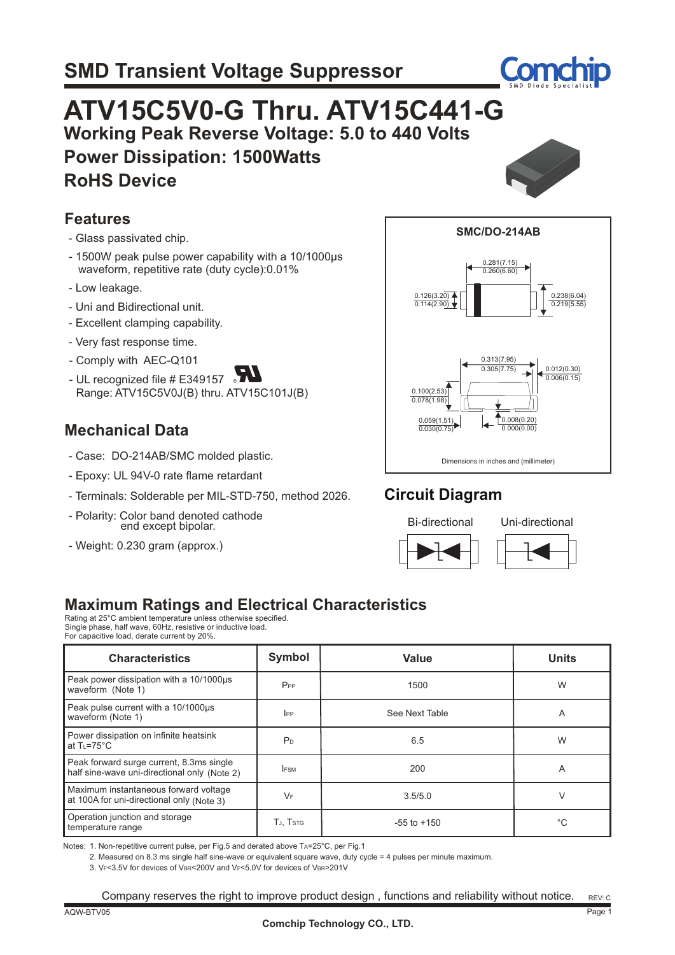

# **ATV15C5V0-G Thru. ATV15C441-G Working Peak Reverse Voltage: 5.0 to 440 Volts Power Dissipation: 1500Watts RoHS Device**



- Glass passivated chip.
- 1500W peak pulse power capability with a 10/1000µs waveform, repetitive rate (duty cycle):0.01%
- Low leakage.
- Uni and Bidirectional unit.
- Excellent clamping capability.
- Very fast response time.
- Comply with AEC-Q101
- UL recognized file # E349157  $\sqrt{2}$ Range: ATV15C5V0J(B) thru. ATV15C101J(B)

### **Mechanical Data**

- Case: DO-214AB/SMC molded plastic.
- Epoxy: UL 94V-0 rate flame retardant
- Terminals: Solderable per MIL-STD-750, method 2026.
- Polarity: Color band denoted cathode end except bipolar.
- Weight: 0.230 gram (approx.)



## **Circuit Diagram**



|  | UNI-UIRCUURI |  |  |  |
|--|--------------|--|--|--|
|  |              |  |  |  |
|  |              |  |  |  |

## **Maximum Ratings and Electrical Characteristics**

Rating at 25°C ambient temperature unless otherwise specified. Single phase, half wave, 60Hz, resistive or inductive load. For capacitive load, derate current by 20%.

| <b>Characteristics</b>                                                                   | Symbol                | <b>Value</b><br><b>Units</b> |    |  |
|------------------------------------------------------------------------------------------|-----------------------|------------------------------|----|--|
| Peak power dissipation with a 10/1000us<br>waveform (Note 1)                             | $P_{PP}$              | 1500                         | W  |  |
| Peak pulse current with a 10/1000us<br>waveform (Note 1)                                 | $_{\rm lPP}$          | See Next Table<br>A          |    |  |
| Power dissipation on infinite heatsink<br>at $T_{L} = 75^{\circ}$ C                      | P <sub>D</sub>        | 6.5                          | W  |  |
| Peak forward surge current, 8.3ms single<br>half sine-wave uni-directional only (Note 2) | <b>IFSM</b>           | 200                          | A  |  |
| Maximum instantaneous forward voltage<br>at 100A for uni-directional only (Note 3)       | $V_F$<br>V<br>3.5/5.0 |                              |    |  |
| Operation junction and storage<br>temperature range                                      | TJ, TSTG              | $-55$ to $+150$              | °C |  |

Notes: 1. Non-repetitive current pulse, per Fig.5 and derated above TA=25°C, per Fig.1

2. Measured on 8.3 ms single half sine-wave or equivalent square wave, duty cycle = 4 pulses per minute maximum.

3. VF<3.5V for devices of VBR<200V and VF<5.0V for devices of VBR>201V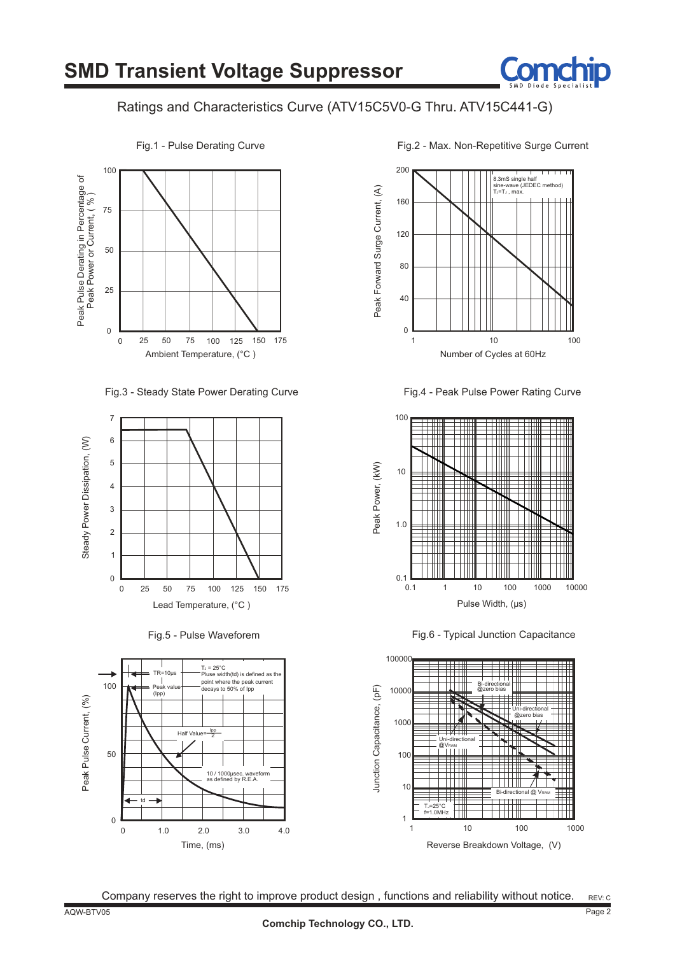

#### Ratings and Characteristics Curve (ATV15C5V0-G Thru. ATV15C441-G)



Fig.3 - Steady State Power Derating Curve







Fig.2 - Max. Non-Repetitive Surge Current



Fig.4 - Peak Pulse Power Rating Curve



Fig.6 - Typical Junction Capacitance

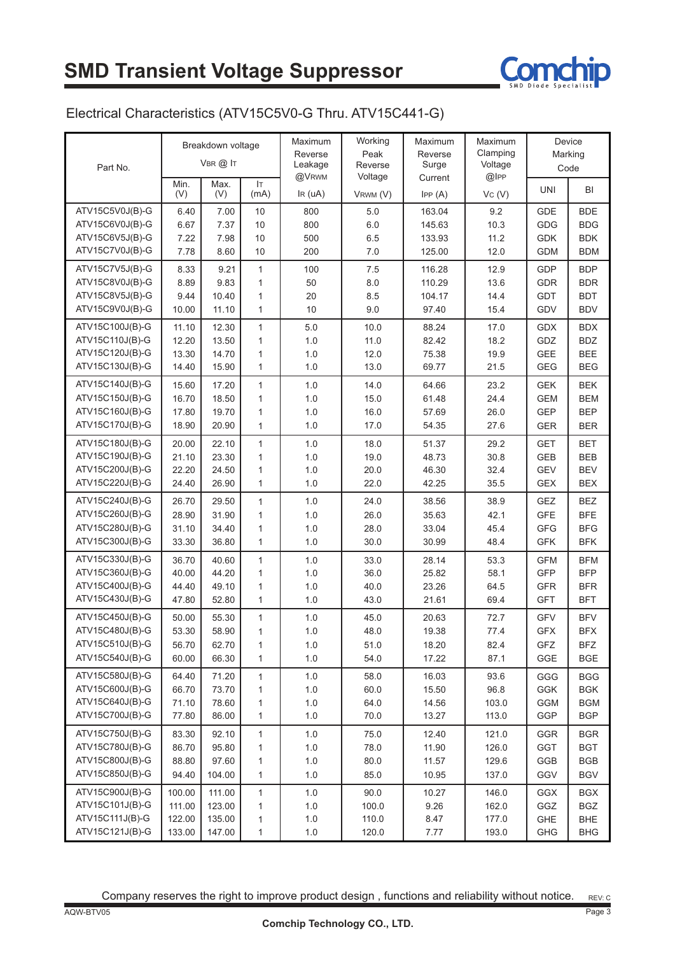

#### Electrical Characteristics (ATV15C5V0-G Thru. ATV15C441-G)

| Part No.        | Breakdown voltage<br>VBR @ IT |             |              | Maximum<br>Reverse<br>Leakage | Working<br>Peak<br>Reverse | Maximum<br>Reverse<br>Surge | Maximum<br>Clamping<br>Voltage | Device<br>Marking<br>Code |            |
|-----------------|-------------------------------|-------------|--------------|-------------------------------|----------------------------|-----------------------------|--------------------------------|---------------------------|------------|
|                 | Min.<br>(V)                   | Max.<br>(V) | IT.<br>(mA)  | @VRWM<br>IR(uA)               | Voltage<br>VRWM (V)        | Current<br>IPP(A)           | @IPP<br>VC (V)                 | <b>UNI</b>                | BI         |
| ATV15C5V0J(B)-G | 6.40                          | 7.00        | 10           | 800                           | 5.0                        | 163.04                      | 9.2                            | <b>GDE</b>                | <b>BDE</b> |
| ATV15C6V0J(B)-G | 6.67                          | 7.37        | 10           | 800                           | 6.0                        | 145.63                      | 10.3                           | GDG                       | <b>BDG</b> |
| ATV15C6V5J(B)-G | 7.22                          | 7.98        | 10           | 500                           | 6.5                        | 133.93                      | 11.2                           | <b>GDK</b>                | <b>BDK</b> |
| ATV15C7V0J(B)-G | 7.78                          | 8.60        | 10           | 200                           | $7.0$                      | 125.00                      | 12.0                           | <b>GDM</b>                | <b>BDM</b> |
| ATV15C7V5J(B)-G | 8.33                          | 9.21        | $\mathbf{1}$ | 100                           | 7.5                        | 116.28                      | 12.9                           | <b>GDP</b>                | <b>BDP</b> |
| ATV15C8V0J(B)-G | 8.89                          | 9.83        | $\mathbf{1}$ | 50                            | 8.0                        | 110.29                      | 13.6                           | <b>GDR</b>                | <b>BDR</b> |
| ATV15C8V5J(B)-G | 9.44                          | 10.40       | 1            | 20                            | 8.5                        | 104.17                      | 14.4                           | GDT                       | <b>BDT</b> |
| ATV15C9V0J(B)-G | 10.00                         | 11.10       | $\mathbf{1}$ | 10                            | 9.0                        | 97.40                       | 15.4                           | GDV                       | <b>BDV</b> |
| ATV15C100J(B)-G | 11.10                         | 12.30       | $\mathbf{1}$ | 5.0                           | 10.0                       | 88.24                       | 17.0                           | <b>GDX</b>                | <b>BDX</b> |
| ATV15C110J(B)-G | 12.20                         | 13.50       | $\mathbf{1}$ | 1.0                           | 11.0                       | 82.42                       | 18.2                           | GDZ                       | <b>BDZ</b> |
| ATV15C120J(B)-G | 13.30                         | 14.70       | 1            | 1.0                           | 12.0                       | 75.38                       | 19.9                           | <b>GEE</b>                | <b>BEE</b> |
| ATV15C130J(B)-G | 14.40                         | 15.90       | $\mathbf{1}$ | 1.0                           | 13.0                       | 69.77                       | 21.5                           | <b>GEG</b>                | <b>BEG</b> |
| ATV15C140J(B)-G | 15.60                         | 17.20       | $\mathbf{1}$ | 1.0                           | 14.0                       | 64.66                       | 23.2                           | <b>GEK</b>                | <b>BEK</b> |
| ATV15C150J(B)-G | 16.70                         | 18.50       | $\mathbf{1}$ | 1.0                           | 15.0                       | 61.48                       | 24.4                           | <b>GEM</b>                | <b>BEM</b> |
| ATV15C160J(B)-G | 17.80                         | 19.70       | $\mathbf{1}$ | 1.0                           | 16.0                       | 57.69                       | 26.0                           | <b>GEP</b>                | <b>BEP</b> |
| ATV15C170J(B)-G | 18.90                         | 20.90       | $\mathbf{1}$ | 1.0                           | 17.0                       | 54.35                       | 27.6                           | <b>GER</b>                | <b>BER</b> |
| ATV15C180J(B)-G | 20.00                         | 22.10       | $\mathbf{1}$ | 1.0                           | 18.0                       | 51.37                       | 29.2                           | <b>GET</b>                | <b>BET</b> |
| ATV15C190J(B)-G | 21.10                         | 23.30       | $\mathbf{1}$ | 1.0                           | 19.0                       | 48.73                       | 30.8                           | <b>GEB</b>                | <b>BEB</b> |
| ATV15C200J(B)-G | 22.20                         | 24.50       | $\mathbf{1}$ | 1.0                           | 20.0                       | 46.30                       | 32.4                           | <b>GEV</b>                | <b>BEV</b> |
| ATV15C220J(B)-G | 24.40                         | 26.90       | $\mathbf{1}$ | 1.0                           | 22.0                       | 42.25                       | 35.5                           | GEX                       | <b>BEX</b> |
| ATV15C240J(B)-G | 26.70                         | 29.50       | $\mathbf{1}$ | 1.0                           | 24.0                       | 38.56                       | 38.9                           | GEZ                       | <b>BEZ</b> |
| ATV15C260J(B)-G | 28.90                         | 31.90       | $\mathbf{1}$ | 1.0                           | 26.0                       | 35.63                       | 42.1                           | <b>GFE</b>                | <b>BFE</b> |
| ATV15C280J(B)-G | 31.10                         | 34.40       | 1            | 1.0                           | 28.0                       | 33.04                       | 45.4                           | <b>GFG</b>                | <b>BFG</b> |
| ATV15C300J(B)-G | 33.30                         | 36.80       | $\mathbf{1}$ | 1.0                           | 30.0                       | 30.99                       | 48.4                           | <b>GFK</b>                | <b>BFK</b> |
| ATV15C330J(B)-G | 36.70                         | 40.60       | $\mathbf{1}$ | 1.0                           | 33.0                       | 28.14                       | 53.3                           | <b>GFM</b>                | <b>BFM</b> |
| ATV15C360J(B)-G | 40.00                         | 44.20       | $\mathbf{1}$ | 1.0                           | 36.0                       | 25.82                       | 58.1                           | <b>GFP</b>                | <b>BFP</b> |
| ATV15C400J(B)-G | 44.40                         | 49.10       | $\mathbf{1}$ | 1.0                           | 40.0                       | 23.26                       | 64.5                           | <b>GFR</b>                | <b>BFR</b> |
| ATV15C430J(B)-G | 47.80                         | 52.80       | $\mathbf{1}$ | 1.0                           | 43.0                       | 21.61                       | 69.4                           | <b>GFT</b>                | <b>BFT</b> |
| ATV15C450J(B)-G | 50.00                         | 55.30       | $\mathbf{1}$ | 1.0                           | 45.0                       | 20.63                       | 72.7                           | <b>GFV</b>                | <b>BFV</b> |
| ATV15C480J(B)-G | 53.30                         | 58.90       | $\mathbf{1}$ | 1.0                           | 48.0                       | 19.38                       | 77.4                           | <b>GFX</b>                | <b>BFX</b> |
| ATV15C510J(B)-G | 56.70                         | 62.70       | 1            | $1.0\,$                       | 51.0                       | 18.20                       | 82.4                           | GFZ                       | <b>BFZ</b> |
| ATV15C540J(B)-G | 60.00                         | 66.30       | 1            | 1.0                           | 54.0                       | 17.22                       | 87.1                           | GGE                       | <b>BGE</b> |
| ATV15C580J(B)-G | 64.40                         | 71.20       | 1            | $1.0\,$                       | 58.0                       | 16.03                       | 93.6                           | GGG                       | <b>BGG</b> |
| ATV15C600J(B)-G | 66.70                         | 73.70       | $\mathbf{1}$ | $1.0\,$                       | 60.0                       | 15.50                       | 96.8                           | GGK                       | <b>BGK</b> |
| ATV15C640J(B)-G | 71.10                         | 78.60       | 1            | $1.0\,$                       | 64.0                       | 14.56                       | 103.0                          | GGM                       | <b>BGM</b> |
| ATV15C700J(B)-G | 77.80                         | 86.00       | $\mathbf{1}$ | $1.0\,$                       | 70.0                       | 13.27                       | 113.0                          | GGP                       | <b>BGP</b> |
| ATV15C750J(B)-G | 83.30                         | 92.10       | 1            | $1.0\,$                       | 75.0                       | 12.40                       | 121.0                          | GGR                       | <b>BGR</b> |
| ATV15C780J(B)-G | 86.70                         | 95.80       | 1            | $1.0\,$                       | 78.0                       | 11.90                       | 126.0                          | GGT                       | <b>BGT</b> |
| ATV15C800J(B)-G | 88.80                         | 97.60       | 1            | $1.0\,$                       | 80.0                       | 11.57                       | 129.6                          | GGB                       | <b>BGB</b> |
| ATV15C850J(B)-G | 94.40                         | 104.00      | 1            | $1.0$                         | 85.0                       | 10.95                       | 137.0                          | GGV                       | <b>BGV</b> |
| ATV15C900J(B)-G | 100.00                        | 111.00      | 1            | 1.0                           | 90.0                       | 10.27                       | 146.0                          | GGX                       | <b>BGX</b> |
| ATV15C101J(B)-G | 111.00                        | 123.00      | 1            | $1.0\,$                       | 100.0                      | 9.26                        | 162.0                          | GGZ                       | <b>BGZ</b> |
| ATV15C111J(B)-G | 122.00                        | 135.00      | 1            | $1.0\,$                       | 110.0                      | 8.47                        | 177.0                          | GHE                       | <b>BHE</b> |
| ATV15C121J(B)-G | 133.00                        | 147.00      | $\mathbf{1}$ | $1.0\,$                       | 120.0                      | 7.77                        | 193.0                          | GHG                       | <b>BHG</b> |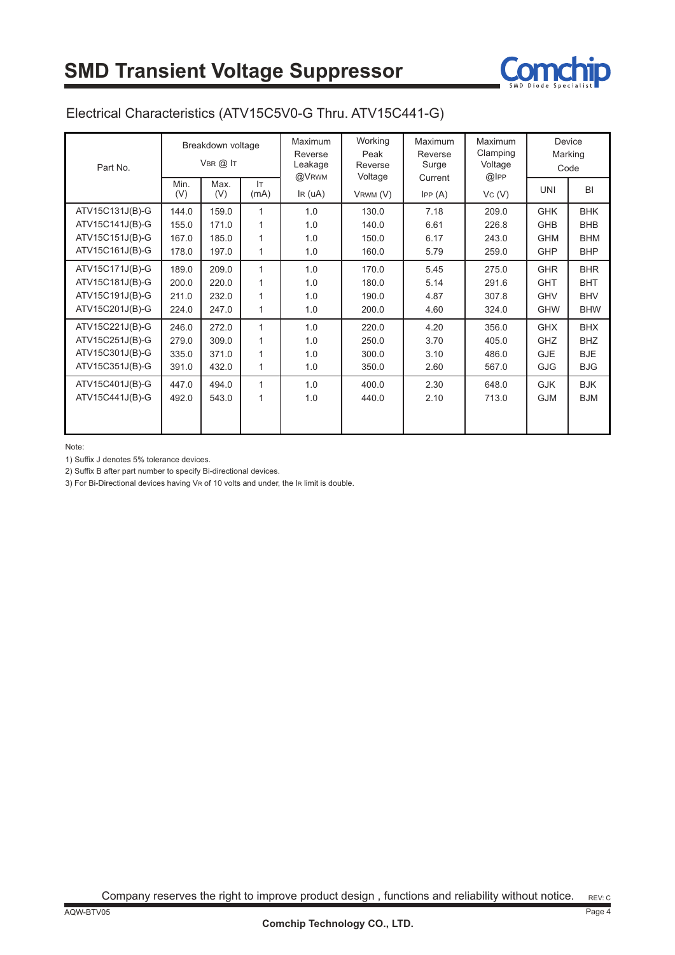

#### Electrical Characteristics (ATV15C5V0-G Thru. ATV15C441-G)

| Part No.                                                                 | Breakdown voltage<br>VBR @ IT    |                                  |                   | <b>Maximum</b><br>Reverse<br>Leakage<br>@VRWM | Working<br>Peak<br>Reverse<br>Voltage | <b>Maximum</b><br>Reverse<br>Surge | Maximum<br>Clamping<br>Voltage<br>$@$ IPP | Device<br>Marking<br>Code                            |                                                      |
|--------------------------------------------------------------------------|----------------------------------|----------------------------------|-------------------|-----------------------------------------------|---------------------------------------|------------------------------------|-------------------------------------------|------------------------------------------------------|------------------------------------------------------|
|                                                                          | Min.<br>(V)                      | Max.<br>(V)                      | Iт<br>(mA)        | $\text{IR (uA)}$                              | VRWM (V)                              | Current<br>IPP(A)                  | Vc(V)                                     | <b>UNI</b>                                           | <b>BI</b>                                            |
| ATV15C131J(B)-G<br>ATV15C141J(B)-G<br>ATV15C151J(B)-G<br>ATV15C161J(B)-G | 144.0<br>155.0<br>167.0<br>178.0 | 159.0<br>171.0<br>185.0<br>197.0 | 1<br>1<br>1       | 1.0<br>1.0<br>1.0<br>1.0                      | 130.0<br>140.0<br>150.0<br>160.0      | 7.18<br>6.61<br>6.17<br>5.79       | 209.0<br>226.8<br>243.0<br>259.0          | <b>GHK</b><br><b>GHB</b><br><b>GHM</b><br><b>GHP</b> | <b>BHK</b><br><b>BHB</b><br><b>BHM</b><br><b>BHP</b> |
| ATV15C171J(B)-G<br>ATV15C181J(B)-G<br>ATV15C191J(B)-G<br>ATV15C201J(B)-G | 189.0<br>200.0<br>211.0<br>224.0 | 209.0<br>220.0<br>232.0<br>247.0 | $\mathbf{1}$<br>1 | 1.0<br>1.0<br>1.0<br>1.0                      | 170.0<br>180.0<br>190.0<br>200.0      | 5.45<br>5.14<br>4.87<br>4.60       | 275.0<br>291.6<br>307.8<br>324.0          | <b>GHR</b><br><b>GHT</b><br><b>GHV</b><br><b>GHW</b> | <b>BHR</b><br><b>BHT</b><br><b>BHV</b><br><b>BHW</b> |
| ATV15C221J(B)-G<br>ATV15C251J(B)-G<br>ATV15C301J(B)-G<br>ATV15C351J(B)-G | 246.0<br>279.0<br>335.0<br>391.0 | 272.0<br>309.0<br>371.0<br>432.0 | $\mathbf{1}$<br>1 | 1.0<br>1.0<br>1.0<br>1.0                      | 220.0<br>250.0<br>300.0<br>350.0      | 4.20<br>3.70<br>3.10<br>2.60       | 356.0<br>405.0<br>486.0<br>567.0          | <b>GHX</b><br><b>GHZ</b><br><b>GJE</b><br><b>GJG</b> | <b>BHX</b><br><b>BHZ</b><br><b>BJE</b><br><b>BJG</b> |
| ATV15C401J(B)-G<br>ATV15C441J(B)-G                                       | 447.0<br>492.0                   | 494.0<br>543.0                   | $\mathbf{1}$<br>1 | 1.0<br>1.0                                    | 400.0<br>440.0                        | 2.30<br>2.10                       | 648.0<br>713.0                            | <b>GJK</b><br><b>GJM</b>                             | <b>BJK</b><br><b>BJM</b>                             |

Note:

1) Suffix J denotes 5% tolerance devices.

2) Suffix B after part number to specify Bi-directional devices.

3) For Bi-Directional devices having VR of 10 volts and under, the IR limit is double.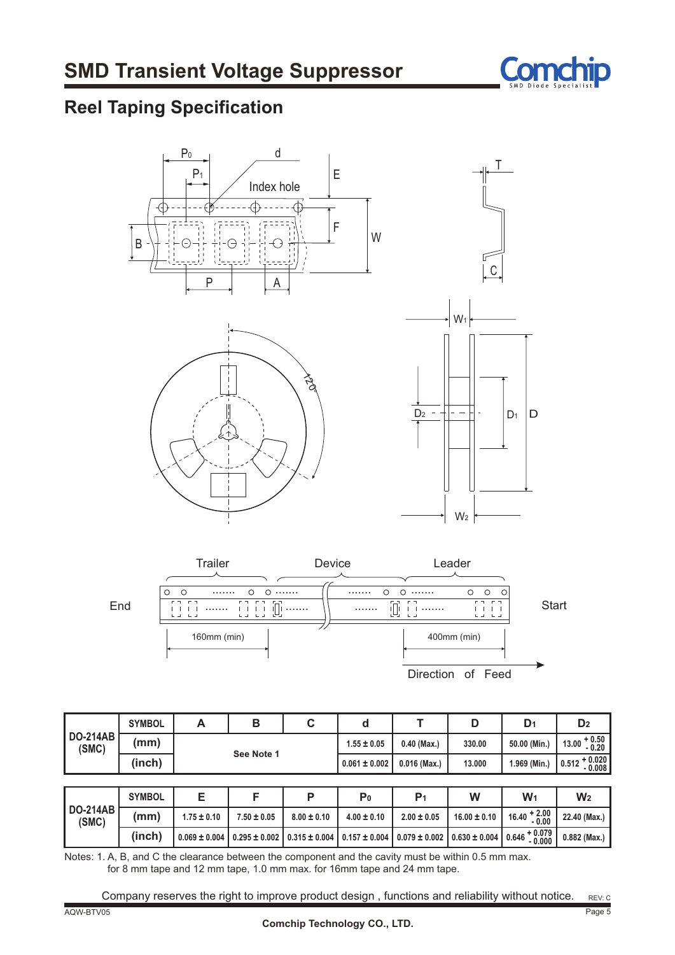

## **Reel Taping Specification**





|                                                | <b>SYMBOL</b> | A                 | В<br>C            |                   |                   |                   | D                 | D <sub>1</sub>                   | D <sub>2</sub>                |
|------------------------------------------------|---------------|-------------------|-------------------|-------------------|-------------------|-------------------|-------------------|----------------------------------|-------------------------------|
| <b>DO-214AB</b><br>(mm)<br>(SMC)<br>See Note 1 |               |                   |                   | $1.55 \pm 0.05$   | $0.40$ (Max.)     | 330.00            | 50.00 (Min.)      | $13.00 + 0.50$<br>$-0.20$        |                               |
|                                                | (inch)        |                   |                   |                   | $0.061 \pm 0.002$ | $0.016$ (Max.)    | 13,000            | 1.969 (Min.)                     | $+0.020$<br>$-0.008$<br>0.512 |
|                                                |               |                   |                   |                   |                   |                   |                   |                                  |                               |
|                                                | <b>SYMBOL</b> | Е                 | F                 | P                 | P <sub>0</sub>    | P <sub>1</sub>    | W                 | $W_1$                            | W <sub>2</sub>                |
| <b>DO-214AB</b><br>(SMC)                       | (mm)          | $1.75 \pm 0.10$   | $7.50 \pm 0.05$   | $8.00 \pm 0.10$   | $4.00 \pm 0.10$   | $2.00 \pm 0.05$   | $16.00 \pm 0.10$  | $16.40 + 2.00$<br>$-0.00$        | 22.40 (Max.)                  |
|                                                | (inch)        | $0.069 \pm 0.004$ | $0.295 \pm 0.002$ | $0.315 \pm 0.004$ | $0.157 \pm 0.004$ | $0.079 \pm 0.002$ | $0.630 \pm 0.004$ | $10.646 + 0.079$   .<br>$-0.000$ | $0.882$ (Max.)                |

Notes: 1. A, B, and C the clearance between the component and the cavity must be within 0.5 mm max. for 8 mm tape and 12 mm tape, 1.0 mm max. for 16mm tape and 24 mm tape.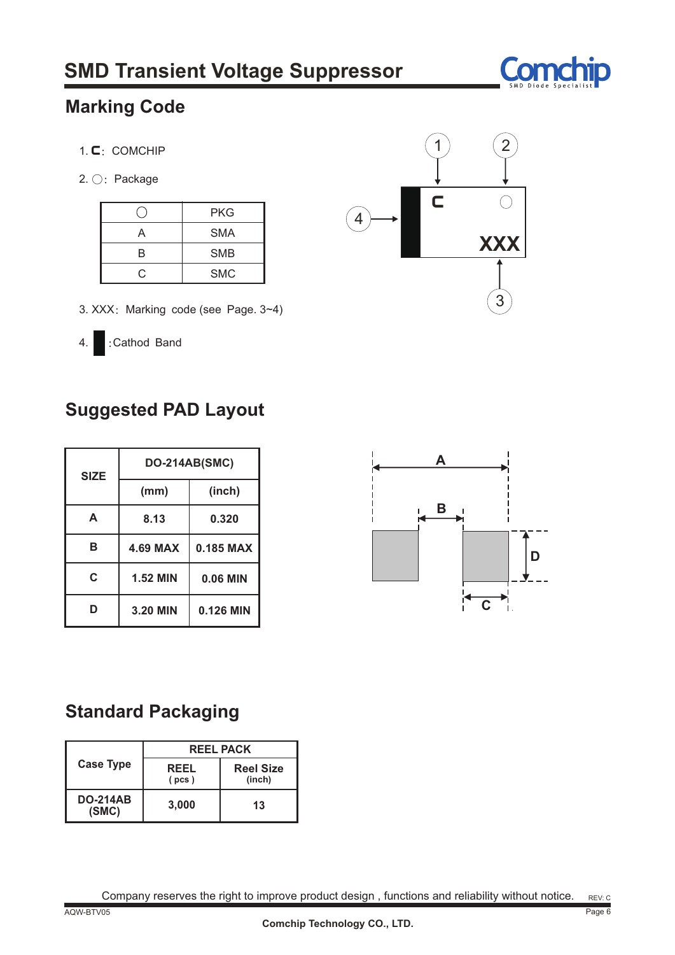

## **Marking Code**

- 1. C: COMCHIP
- 2. ○: Package

|    | <b>PKG</b> |
|----|------------|
| д  | <b>SMA</b> |
| R  | <b>SMB</b> |
| r. | <b>SMC</b> |



- 3. XXX: Marking code (see Page. 3~4)
- 4. :Cathod Band

## **Suggested PAD Layout**

| <b>SIZE</b> | <b>DO-214AB(SMC)</b> |           |  |  |
|-------------|----------------------|-----------|--|--|
|             | (mm)                 | (inch)    |  |  |
| A           | 8.13                 | 0.320     |  |  |
| в           | <b>4.69 MAX</b>      | 0.185 MAX |  |  |
| C           | <b>1.52 MIN</b>      | 0.06 MIN  |  |  |
|             | 3.20 MIN             | 0.126 MIN |  |  |



## **Standard Packaging**

|                          | <b>REEL PACK</b>     |                            |  |  |  |
|--------------------------|----------------------|----------------------------|--|--|--|
| <b>Case Type</b>         | <b>REEL</b><br>(pcs) | <b>Reel Size</b><br>(inch) |  |  |  |
| <b>DO-214AB</b><br>(SMC) | 3,000                | 13                         |  |  |  |